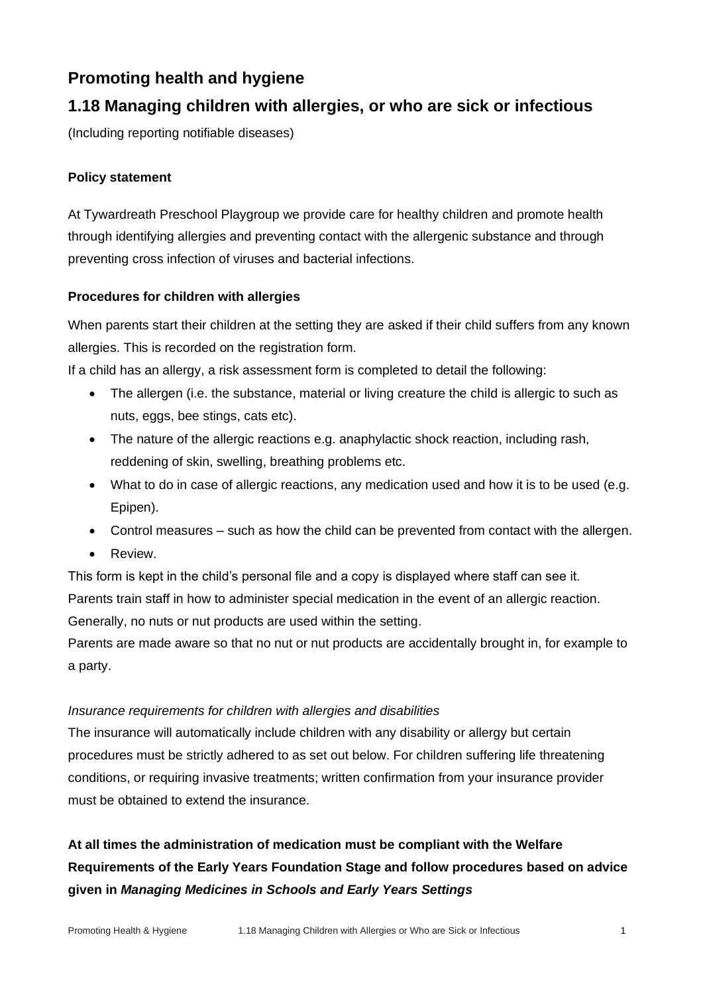# **Promoting health and hygiene**

## **1.18 Managing children with allergies, or who are sick or infectious**

(Including reporting notifiable diseases)

## **Policy statement**

At Tywardreath Preschool Playgroup we provide care for healthy children and promote health through identifying allergies and preventing contact with the allergenic substance and through preventing cross infection of viruses and bacterial infections.

### **Procedures for children with allergies**

When parents start their children at the setting they are asked if their child suffers from any known allergies. This is recorded on the registration form.

If a child has an allergy, a risk assessment form is completed to detail the following:

- The allergen (i.e. the substance, material or living creature the child is allergic to such as nuts, eggs, bee stings, cats etc).
- The nature of the allergic reactions e.g. anaphylactic shock reaction, including rash, reddening of skin, swelling, breathing problems etc.
- What to do in case of allergic reactions, any medication used and how it is to be used (e.g. Epipen).
- Control measures such as how the child can be prevented from contact with the allergen.
- Review.

This form is kept in the child's personal file and a copy is displayed where staff can see it. Parents train staff in how to administer special medication in the event of an allergic reaction. Generally, no nuts or nut products are used within the setting.

Parents are made aware so that no nut or nut products are accidentally brought in, for example to a party.

### *Insurance requirements for children with allergies and disabilities*

The insurance will automatically include children with any disability or allergy but certain procedures must be strictly adhered to as set out below. For children suffering life threatening conditions, or requiring invasive treatments; written confirmation from your insurance provider must be obtained to extend the insurance.

# **At all times the administration of medication must be compliant with the Welfare Requirements of the Early Years Foundation Stage and follow procedures based on advice given in** *Managing Medicines in Schools and Early Years Settings*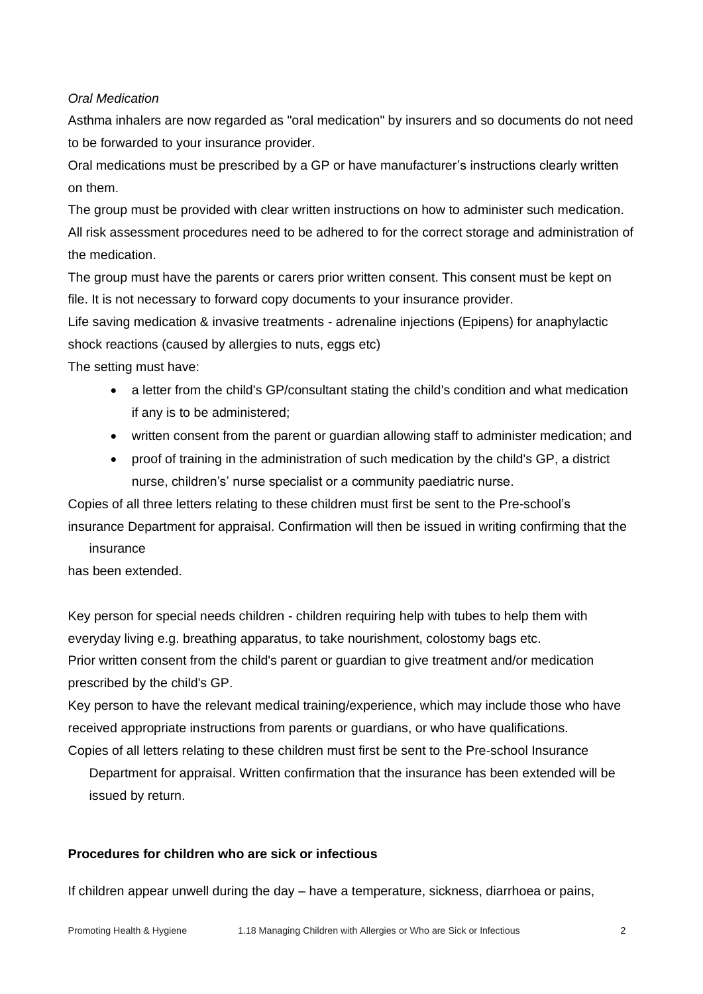*Oral Medication*

Asthma inhalers are now regarded as "oral medication" by insurers and so documents do not need to be forwarded to your insurance provider.

Oral medications must be prescribed by a GP or have manufacturer's instructions clearly written on them.

The group must be provided with clear written instructions on how to administer such medication. All risk assessment procedures need to be adhered to for the correct storage and administration of the medication.

The group must have the parents or carers prior written consent. This consent must be kept on file. It is not necessary to forward copy documents to your insurance provider.

Life saving medication & invasive treatments - adrenaline injections (Epipens) for anaphylactic shock reactions (caused by allergies to nuts, eggs etc)

The setting must have:

- a letter from the child's GP/consultant stating the child's condition and what medication if any is to be administered;
- written consent from the parent or guardian allowing staff to administer medication; and
- proof of training in the administration of such medication by the child's GP, a district nurse, children's' nurse specialist or a community paediatric nurse.

Copies of all three letters relating to these children must first be sent to the Pre-school's insurance Department for appraisal. Confirmation will then be issued in writing confirming that the insurance

has been extended.

Key person for special needs children - children requiring help with tubes to help them with everyday living e.g. breathing apparatus, to take nourishment, colostomy bags etc. Prior written consent from the child's parent or guardian to give treatment and/or medication prescribed by the child's GP.

Key person to have the relevant medical training/experience, which may include those who have received appropriate instructions from parents or guardians, or who have qualifications. Copies of all letters relating to these children must first be sent to the Pre-school Insurance

Department for appraisal. Written confirmation that the insurance has been extended will be issued by return.

### **Procedures for children who are sick or infectious**

If children appear unwell during the day – have a temperature, sickness, diarrhoea or pains,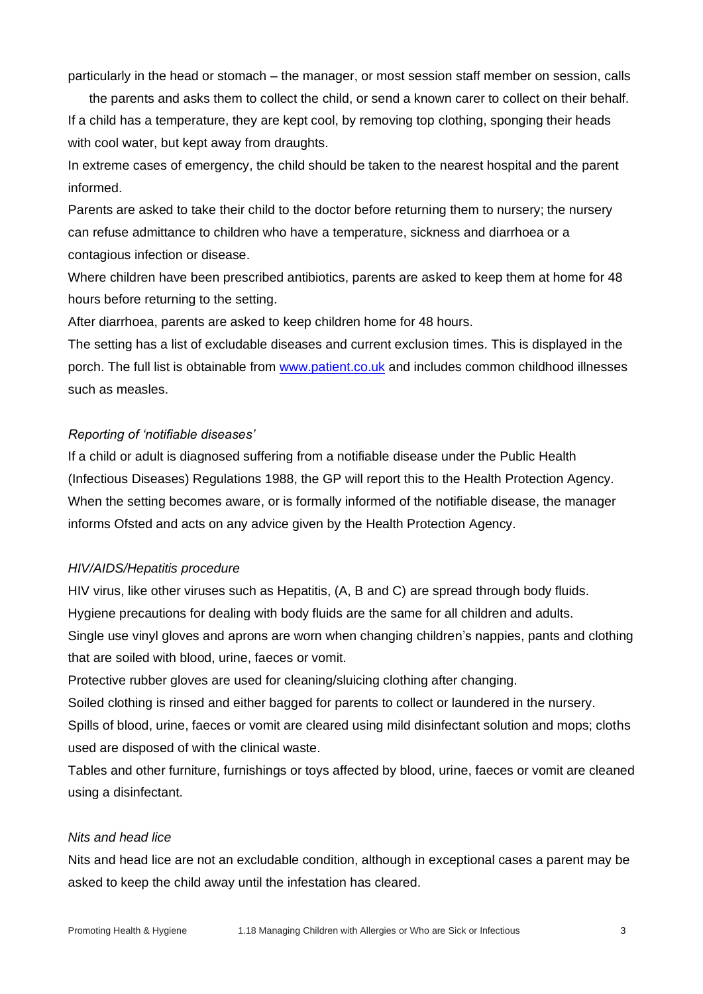particularly in the head or stomach – the manager, or most session staff member on session, calls

the parents and asks them to collect the child, or send a known carer to collect on their behalf. If a child has a temperature, they are kept cool, by removing top clothing, sponging their heads with cool water, but kept away from draughts.

In extreme cases of emergency, the child should be taken to the nearest hospital and the parent informed.

Parents are asked to take their child to the doctor before returning them to nursery; the nursery can refuse admittance to children who have a temperature, sickness and diarrhoea or a contagious infection or disease.

Where children have been prescribed antibiotics, parents are asked to keep them at home for 48 hours before returning to the setting.

After diarrhoea, parents are asked to keep children home for 48 hours.

The setting has a list of excludable diseases and current exclusion times. This is displayed in the porch. The full list is obtainable from [www.patient.co.uk](http://www.patient.co.uk/) and includes common childhood illnesses such as measles.

#### *Reporting of 'notifiable diseases'*

If a child or adult is diagnosed suffering from a notifiable disease under the Public Health (Infectious Diseases) Regulations 1988, the GP will report this to the Health Protection Agency. When the setting becomes aware, or is formally informed of the notifiable disease, the manager informs Ofsted and acts on any advice given by the Health Protection Agency.

#### *HIV/AIDS/Hepatitis procedure*

HIV virus, like other viruses such as Hepatitis, (A, B and C) are spread through body fluids. Hygiene precautions for dealing with body fluids are the same for all children and adults. Single use vinyl gloves and aprons are worn when changing children's nappies, pants and clothing that are soiled with blood, urine, faeces or vomit.

Protective rubber gloves are used for cleaning/sluicing clothing after changing.

Soiled clothing is rinsed and either bagged for parents to collect or laundered in the nursery.

Spills of blood, urine, faeces or vomit are cleared using mild disinfectant solution and mops; cloths used are disposed of with the clinical waste.

Tables and other furniture, furnishings or toys affected by blood, urine, faeces or vomit are cleaned using a disinfectant.

#### *Nits and head lice*

Nits and head lice are not an excludable condition, although in exceptional cases a parent may be asked to keep the child away until the infestation has cleared.